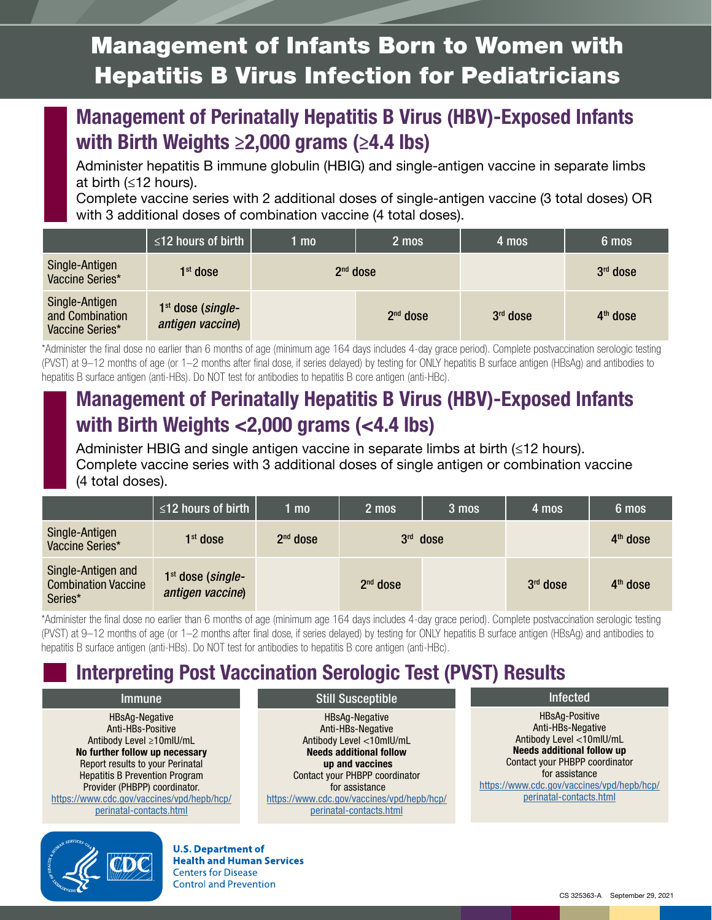# Management of Infants Born to Women with Hepatitis B Virus Infection for Pediatricians

## Management of Perinatally Hepatitis B Virus (HBV)-Exposed Infants with Birth Weights  $\geq 2,000$  grams ( $\geq 4.4$  lbs)

Administer hepatitis B immune globulin (HBIG) and single-antigen vaccine in separate limbs at birth (≤12 hours).

Complete vaccine series with 2 additional doses of single-antigen vaccine (3 total doses) OR with 3 additional doses of combination vaccine (4 total doses).

|                                                      | $\sqrt{12}$ hours of birth              | 1 mo       | 2 mos      | 4 mos      | 6 mos      |
|------------------------------------------------------|-----------------------------------------|------------|------------|------------|------------|
| Single-Antigen<br>Vaccine Series*                    | $1st$ dose                              | $2nd$ dose |            |            | $3rd$ dose |
| Single-Antigen<br>and Combination<br>Vaccine Series* | $1st$ dose (single-<br>antigen vaccine) |            | $2nd$ dose | $3rd$ dose | $4th$ dose |

\*Administer the final dose no earlier than 6 months of age (minimum age 164 days includes 4-day grace period). Complete postvaccination serologic testing (PVST) at 9–12 months of age (or 1–2 months after final dose, if series delayed) by testing for ONLY hepatitis B surface antigen (HBsAg) and antibodies to hepatitis B surface antigen (anti-HBs). Do NOT test for antibodies to hepatitis B core antigen (anti-HBc).

### Management of Perinatally Hepatitis B Virus (HBV)-Exposed Infants with Birth Weights <2,000 grams (<4.4 lbs)

Administer HBIG and single antigen vaccine in separate limbs at birth (≤12 hours). Complete vaccine series with 3 additional doses of single antigen or combination vaccine (4 total doses).

|                                                             | $\le$ 12 hours of birth $\ $            | 1 mo       | 2 mos      | 3 mos | 4 mos      | 6 mos      |
|-------------------------------------------------------------|-----------------------------------------|------------|------------|-------|------------|------------|
| Single-Antigen<br>Vaccine Series*                           | $1st$ dose                              | $2nd$ dose | $3rd$ dose |       |            | $4th$ dose |
| Single-Antigen and<br><b>Combination Vaccine</b><br>Series* | $1st$ dose (single-<br>antigen vaccine) |            | $2nd$ dose |       | $3rd$ dose | $4th$ dose |

\*Administer the final dose no earlier than 6 months of age (minimum age 164 days includes 4-day grace period). Complete postvaccination serologic testing (PVST) at 9–12 months of age (or 1–2 months after final dose, if series delayed) by testing for ONLY hepatitis B surface antigen (HBsAg) and antibodies to hepatitis B surface antigen (anti-HBs). Do NOT test for antibodies to hepatitis B core antigen (anti-HBc).

Still Susceptible

### Interpreting Post Vaccination Serologic Test (PVST) Results

Immune HBsAg-Negative Anti-HBs-Positive Antibody Level ≥10mIU/mL

No further follow up necessary Report results to your Perinatal Hepatitis B Prevention Program Provider (PHBPP) coordinator. [https://www.cdc.gov/vaccines/vpd/hepb/hcp/](https://www.cdc.gov/vaccines/vpd/hepb/hcp/perinatal-contacts.html) [perinatal-contacts.html](https://www.cdc.gov/vaccines/vpd/hepb/hcp/perinatal-contacts.html)

HBsAg-Negative Anti-HBs-Negative Antibody Level <10mIU/mL Needs additional follow up and vaccines Contact your PHBPP coordinator for assistance [https://www.cdc.gov/vaccines/vpd/hepb/hcp/](https://www.cdc.gov/vaccines/vpd/hepb/hcp/perinatal-contacts.html) [perinatal-contacts.html](https://www.cdc.gov/vaccines/vpd/hepb/hcp/perinatal-contacts.html)

Infected

HBsAg-Positive Anti-HBs-Negative Antibody Level <10mlU/mL Needs additional follow up Contact your PHBPP coordinator for assistance [https://www.cdc.gov/vaccines/vpd/hepb/hcp/](https://www.cdc.gov/vaccines/vpd/hepb/hcp/perinatal-contacts.html) [perinatal-contacts.html](https://www.cdc.gov/vaccines/vpd/hepb/hcp/perinatal-contacts.html)



**U.S. Department of Health and Human Services Centers for Disease Control and Prevention**